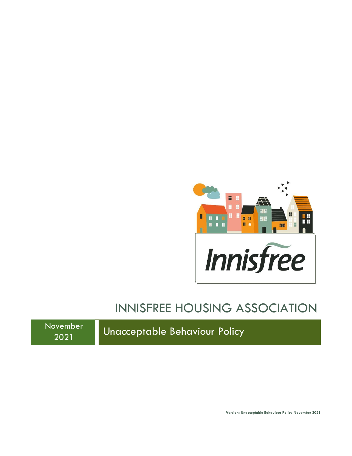

# INNISFREE HOUSING ASSOCIATION

November

ovember | Unacceptable Behaviour Policy

**Version: Unacceptable Behaviour Policy November 2021**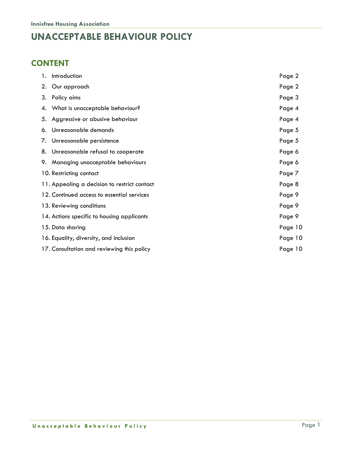### **UNACCEPTABLE BEHAVIOUR POLICY**

### **CONTENT**

| 1. | Introduction                                 | Page 2  |
|----|----------------------------------------------|---------|
|    | 2. Our approach                              | Page 2  |
| 3. | Policy aims                                  | Page 3  |
|    | 4. What is unacceptable behaviour?           | Page 4  |
|    | 5. Aggressive or abusive behaviour           | Page 4  |
|    | 6. Unreasonable demands                      | Page 5  |
|    | 7. Unreasonable persistence                  | Page 5  |
|    | 8. Unreasonable refusal to cooperate         | Page 6  |
|    | 9. Managing unacceptable behaviours          | Page 6  |
|    | 10. Restricting contact                      | Page 7  |
|    | 11. Appealing a decision to restrict contact | Page 8  |
|    | 12. Continued access to essential services   | Page 9  |
|    | 13. Reviewing conditions                     | Page 9  |
|    | 14. Actions specific to housing applicants   | Page 9  |
|    | 15. Data sharing                             | Page 10 |
|    | 16. Equality, diversity, and inclusion       | Page 10 |
|    | 17. Consultation and reviewing this policy   | Page 10 |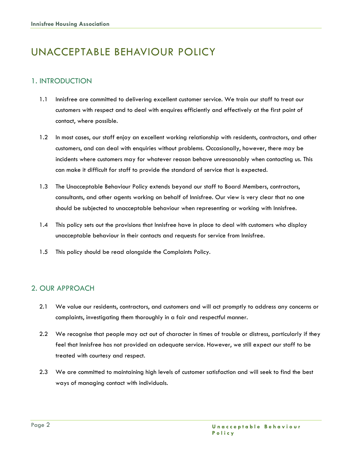## UNACCEPTABLE BEHAVIOUR POLICY

#### 1. INTRODUCTION

- 1.1 Innisfree are committed to delivering excellent customer service. We train our staff to treat our customers with respect and to deal with enquires efficiently and effectively at the first point of contact, where possible.
- 1.2 In most cases, our staff enjoy an excellent working relationship with residents, contractors, and other customers, and can deal with enquiries without problems. Occasionally, however, there may be incidents where customers may for whatever reason behave unreasonably when contacting us. This can make it difficult for staff to provide the standard of service that is expected.
- 1.3 The Unacceptable Behaviour Policy extends beyond our staff to Board Members, contractors, consultants, and other agents working on behalf of Innisfree. Our view is very clear that no one should be subjected to unacceptable behaviour when representing or working with Innisfree.
- 1.4 This policy sets out the provisions that Innisfree have in place to deal with customers who display unacceptable behaviour in their contacts and requests for service from Innisfree.
- 1.5 This policy should be read alongside the Complaints Policy.

#### 2. OUR APPROACH

- 2.1 We value our residents, contractors, and customers and will act promptly to address any concerns or complaints, investigating them thoroughly in a fair and respectful manner.
- 2.2 We recognise that people may act out of character in times of trouble or distress, particularly if they feel that Innisfree has not provided an adequate service. However, we still expect our staff to be treated with courtesy and respect.
- 2.3 We are committed to maintaining high levels of customer satisfaction and will seek to find the best ways of managing contact with individuals.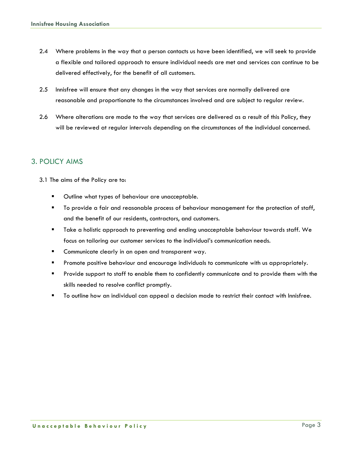- 2.4 Where problems in the way that a person contacts us have been identified, we will seek to provide a flexible and tailored approach to ensure individual needs are met and services can continue to be delivered effectively, for the benefit of all customers.
- 2.5 Innisfree will ensure that any changes in the way that services are normally delivered are reasonable and proportionate to the circumstances involved and are subject to regular review.
- 2.6 Where alterations are made to the way that services are delivered as a result of this Policy, they will be reviewed at regular intervals depending on the circumstances of the individual concerned.

#### 3. POLICY AIMS

3.1 The aims of the Policy are to:

- Outline what types of behaviour are unacceptable.
- To provide a fair and reasonable process of behaviour management for the protection of staff, and the benefit of our residents, contractors, and customers.
- Take a holistic approach to preventing and ending unacceptable behaviour towards staff. We focus on tailoring our customer services to the individual's communication needs.
- **E** Communicate clearly in an open and transparent way.
- **•** Promote positive behaviour and encourage individuals to communicate with us appropriately.
- Provide support to staff to enable them to confidently communicate and to provide them with the skills needed to resolve conflict promptly.
- To outline how an individual can appeal a decision made to restrict their contact with Innisfree.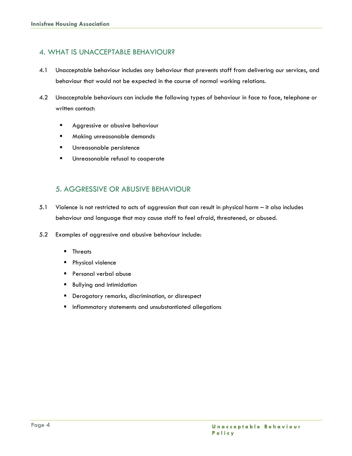#### 4. WHAT IS UNACCEPTABLE BEHAVIOUR?

- 4.1 Unacceptable behaviour includes any behaviour that prevents staff from delivering our services, and behaviour that would not be expected in the course of normal working relations.
- 4.2 Unacceptable behaviours can include the following types of behaviour in face to face, telephone or written contact:
	- **E** Aggressive or abusive behaviour
	- Making unreasonable demands
	- Unreasonable persistence
	- Unreasonable refusal to cooperate

#### 5. AGGRESSIVE OR ABUSIVE BEHAVIOUR

- 5.1 Violence is not restricted to acts of aggression that can result in physical harm it also includes behaviour and language that may cause staff to feel afraid, threatened, or abused.
- 5.2 Examples of aggressive and abusive behaviour include:
	- Threats
	- Physical violence
	- Personal verbal abuse
	- Bullying and intimidation
	- Derogatory remarks, discrimination, or disrespect
	- Inflammatory statements and unsubstantiated allegations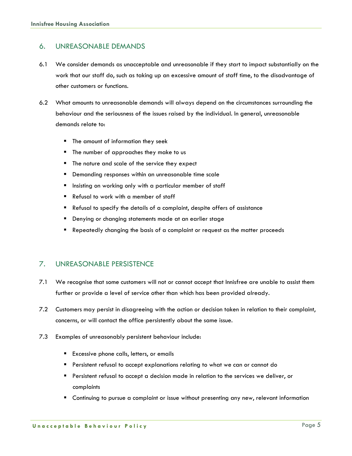#### 6. UNREASONABLE DEMANDS

- 6.1 We consider demands as unacceptable and unreasonable if they start to impact substantially on the work that our staff do, such as taking up an excessive amount of staff time, to the disadvantage of other customers or functions.
- 6.2 What amounts to unreasonable demands will always depend on the circumstances surrounding the behaviour and the seriousness of the issues raised by the individual. In general, unreasonable demands relate to:
	- The amount of information they seek
	- The number of approaches they make to us
	- The nature and scale of the service they expect
	- Demanding responses within an unreasonable time scale
	- Insisting on working only with a particular member of staff
	- Refusal to work with a member of staff
	- Refusal to specify the details of a complaint, despite offers of assistance
	- Denying or changing statements made at an earlier stage
	- Repeatedly changing the basis of a complaint or request as the matter proceeds

#### 7. UNREASONABLE PERSISTENCE

- 7.1 We recognise that some customers will not or cannot accept that Innisfree are unable to assist them further or provide a level of service other than which has been provided already.
- 7.2 Customers may persist in disagreeing with the action or decision taken in relation to their complaint, concerns, or will contact the office persistently about the same issue.
- 7.3 Examples of unreasonably persistent behaviour include:
	- Excessive phone calls, letters, or emails
	- Persistent refusal to accept explanations relating to what we can or cannot do
	- Persistent refusal to accept a decision made in relation to the services we deliver, or complaints
	- Continuing to pursue a complaint or issue without presenting any new, relevant information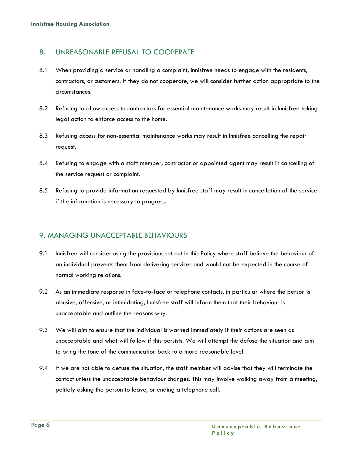#### 8. UNREASONABLE REFUSAL TO COOPERATE

- 8.1 When providing a service or handling a complaint, Innisfree needs to engage with the residents, contractors, or customers. If they do not cooperate, we will consider further action appropriate to the circumstances.
- 8.2 Refusing to allow access to contractors for essential maintenance works may result in Innisfree taking legal action to enforce access to the home.
- 8.3 Refusing access for non-essential maintenance works may result in Innisfree cancelling the repair request.
- 8.4 Refusing to engage with a staff member, contractor or appointed agent may result in cancelling of the service request or complaint.
- 8.5 Refusing to provide information requested by Innisfree staff may result in cancellation of the service if the information is necessary to progress.

#### 9. MANAGING UNACCEPTABLE BEHAVIOURS

- 9.1 Innisfree will consider using the provisions set out in this Policy where staff believe the behaviour of an individual prevents them from delivering services and would not be expected in the course of normal working relations.
- 9.2 As an immediate response in face-to-face or telephone contacts, in particular where the person is abusive, offensive, or intimidating, Innisfree staff will inform them that their behaviour is unacceptable and outline the reasons why.
- 9.3 We will aim to ensure that the individual is warned immediately if their actions are seen as unacceptable and what will follow if this persists. We will attempt the defuse the situation and aim to bring the tone of the communication back to a more reasonable level.
- 9.4 If we are not able to defuse the situation, the staff member will advise that they will terminate the contact unless the unacceptable behaviour changes. This may involve walking away from a meeting, politely asking the person to leave, or ending a telephone call.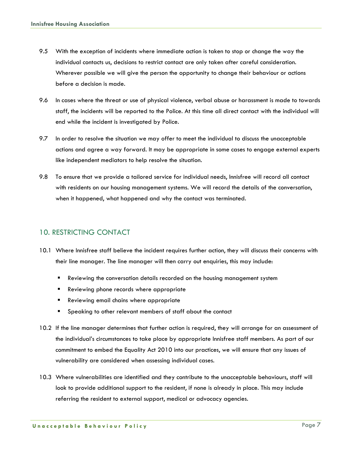- 9.5 With the exception of incidents where immediate action is taken to stop or change the way the individual contacts us, decisions to restrict contact are only taken after careful consideration. Wherever possible we will give the person the opportunity to change their behaviour or actions before a decision is made.
- 9.6 In cases where the threat or use of physical violence, verbal abuse or harassment is made to towards staff, the incidents will be reported to the Police. At this time all direct contact with the individual will end while the incident is investigated by Police.
- 9.7 In order to resolve the situation we may offer to meet the individual to discuss the unacceptable actions and agree a way forward. It may be appropriate in some cases to engage external experts like independent mediators to help resolve the situation.
- 9.8 To ensure that we provide a tailored service for individual needs, Innisfree will record all contact with residents on our housing management systems. We will record the details of the conversation, when it happened, what happened and why the contact was terminated.

#### 10. RESTRICTING CONTACT

- 10.1 Where Innisfree staff believe the incident requires further action, they will discuss their concerns with their line manager. The line manager will then carry out enquiries, this may include:
	- **E** Reviewing the conversation details recorded on the housing management system
	- Reviewing phone records where appropriate
	- Reviewing email chains where appropriate
	- Speaking to other relevant members of staff about the contact
- 10.2 If the line manager determines that further action is required, they will arrange for an assessment of the individual's circumstances to take place by appropriate Innisfree staff members. As part of our commitment to embed the Equality Act 2010 into our practices, we will ensure that any issues of vulnerability are considered when assessing individual cases.
- 10.3 Where vulnerabilities are identified and they contribute to the unacceptable behaviours, staff will look to provide additional support to the resident, if none is already in place. This may include referring the resident to external support, medical or advocacy agencies.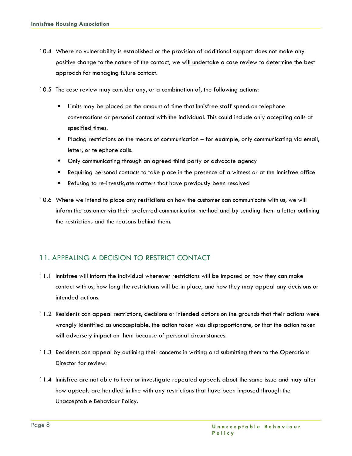- 10.4 Where no vulnerability is established or the provision of additional support does not make any positive change to the nature of the contact, we will undertake a case review to determine the best approach for managing future contact.
- 10.5 The case review may consider any, or a combination of, the following actions:
	- Limits may be placed on the amount of time that Innisfree staff spend on telephone conversations or personal contact with the individual. This could include only accepting calls at specified times.
	- **•** Placing restrictions on the means of communication for example, only communicating via email, letter, or telephone calls.
	- **•** Only communicating through an agreed third party or advocate agency
	- Requiring personal contacts to take place in the presence of a witness or at the Innisfree office
	- Refusing to re-investigate matters that have previously been resolved
- 10.6 Where we intend to place any restrictions on how the customer can communicate with us, we will inform the customer via their preferred communication method and by sending them a letter outlining the restrictions and the reasons behind them.

#### 11. APPEALING A DECISION TO RESTRICT CONTACT

- 11.1 Innisfree will inform the individual whenever restrictions will be imposed on how they can make contact with us, how long the restrictions will be in place, and how they may appeal any decisions or intended actions.
- 11.2 Residents can appeal restrictions, decisions or intended actions on the grounds that their actions were wrongly identified as unacceptable, the action taken was disproportionate, or that the action taken will adversely impact on them because of personal circumstances.
- 11.3 Residents can appeal by outlining their concerns in writing and submitting them to the Operations Director for review.
- 11.4 Innisfree are not able to hear or investigate repeated appeals about the same issue and may alter how appeals are handled in line with any restrictions that have been imposed through the Unacceptable Behaviour Policy.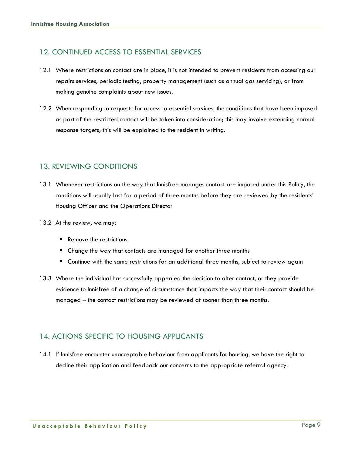#### 12. CONTINUED ACCESS TO ESSENTIAL SERVICES

- 12.1 Where restrictions on contact are in place, it is not intended to prevent residents from accessing our repairs services, periodic testing, property management (such as annual gas servicing), or from making genuine complaints about new issues.
- 12.2 When responding to requests for access to essential services, the conditions that have been imposed as part of the restricted contact will be taken into consideration; this may involve extending normal response targets; this will be explained to the resident in writing.

#### 13. REVIEWING CONDITIONS

- 13.1 Whenever restrictions on the way that Innisfree manages contact are imposed under this Policy, the conditions will usually last for a period of three months before they are reviewed by the residents' Housing Officer and the Operations Director
- 13.2 At the review, we may:
	- Remove the restrictions
	- Change the way that contacts are managed for another three months
	- Continue with the same restrictions for an additional three months, subject to review again
- 13.3 Where the individual has successfully appealed the decision to alter contact, or they provide evidence to Innisfree of a change of circumstance that impacts the way that their contact should be managed – the contact restrictions may be reviewed at sooner than three months.

#### 14. ACTIONS SPECIFIC TO HOUSING APPLICANTS

14.1 If Innisfree encounter unacceptable behaviour from applicants for housing, we have the right to decline their application and feedback our concerns to the appropriate referral agency.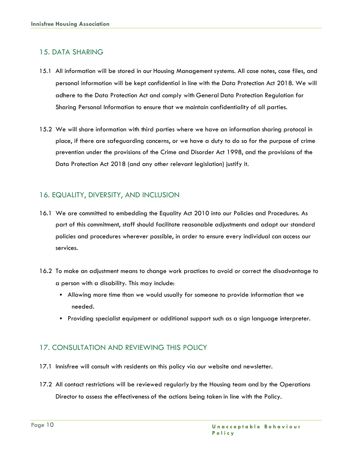#### 15. DATA SHARING

- 15.1 All information will be stored in our Housing Management systems. All case notes, case files, and personal information will be kept confidential in line with the Data Protection Act 2018. We will adhere to the Data Protection Act and comply with General Data Protection Regulation for Sharing Personal Information to ensure that we maintain confidentiality of all parties.
- 15.2 We will share information with third parties where we have an information sharing protocol in place, if there are safeguarding concerns, or we have a duty to do so for the purpose of crime prevention under the provisions of the Crime and Disorder Act 1998, and the provisions of the Data Protection Act 2018 (and any other relevant legislation) justify it.

#### 16. EQUALITY, DIVERSITY, AND INCLUSION

- 16.1 We are committed to embedding the Equality Act 2010 into our Policies and Procedures. As part of this commitment, staff should facilitate reasonable adjustments and adapt our standard policies and procedures wherever possible, in order to ensure every individual can access our services.
- 16.2 To make an adjustment means to change work practices to avoid or correct the disadvantage to a person with a disability. This may include:
	- **EXEL Allowing more time than we would usually for someone to provide information that we** needed.
	- Providing specialist equipment or additional support such as a sign language interpreter.

#### 17. CONSULTATION AND REVIEWING THIS POLICY

- 17.1 Innisfree will consult with residents on this policy via our website and newsletter.
- 17.2 All contact restrictions will be reviewed regularly by the Housing team and by the Operations Director to assess the effectiveness of the actions being taken in line with the Policy.